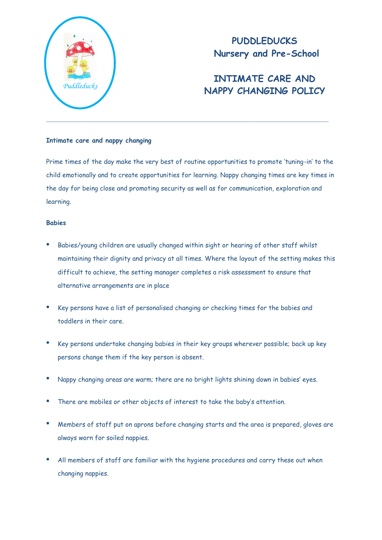

# **PUDDLEDUCKS Nursery and Pre-School**

# **INTIMATE CARE AND NAPPY CHANGING POLICY** *Puddleducks*

### **Intimate care and nappy changing**

Prime times of the day make the very best of routine opportunities to promote 'tuning-in' to the child emotionally and to create opportunities for learning. Nappy changing times are key times in the day for being close and promoting security as well as for communication, exploration and learning.

### **Babies**

- Babies/young children are usually changed within sight or hearing of other staff whilst maintaining their dignity and privacy at all times. Where the layout of the setting makes this difficult to achieve, the setting manager completes a risk assessment to ensure that alternative arrangements are in place
- Key persons have a list of personalised changing or checking times for the babies and toddlers in their care.
- Key persons undertake changing babies in their key groups wherever possible; back up key persons change them if the key person is absent.
- Nappy changing areas are warm; there are no bright lights shining down in babies' eyes.
- There are mobiles or other objects of interest to take the baby's attention.
- Members of staff put on aprons before changing starts and the area is prepared, gloves are always worn for soiled nappies.
- All members of staff are familiar with the hygiene procedures and carry these out when changing nappies.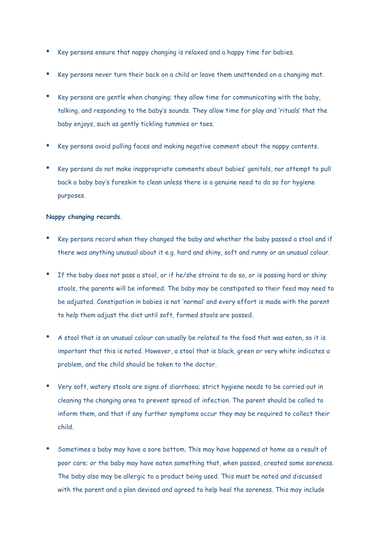- Key persons ensure that nappy changing is relaxed and a happy time for babies.
- Key persons never turn their back on a child or leave them unattended on a changing mat.
- Key persons are gentle when changing; they allow time for communicating with the baby, talking, and responding to the baby's sounds. They allow time for play and 'rituals' that the baby enjoys, such as gently tickling tummies or toes.
- Key persons avoid pulling faces and making negative comment about the nappy contents.
- Key persons do not make inappropriate comments about babies' genitals, nor attempt to pull back a baby boy's foreskin to clean unless there is a genuine need to do so for hygiene purposes.

#### **Nappy changing records.**

- Key persons record when they changed the baby and whether the baby passed a stool and if there was anything unusual about it e.g. hard and shiny, soft and runny or an unusual colour.
- If the baby does not pass a stool, or if he/she strains to do so, or is passing hard or shiny stools, the parents will be informed. The baby may be constipated so their feed may need to be adjusted. Constipation in babies is not 'normal' and every effort is made with the parent to help them adjust the diet until soft, formed stools are passed.
- A stool that is an unusual colour can usually be related to the food that was eaten, so it is important that this is noted. However, a stool that is black, green or very white indicates a problem, and the child should be taken to the doctor.
- Very soft, watery stools are signs of diarrhoea; strict hygiene needs to be carried out in cleaning the changing area to prevent spread of infection. The parent should be called to inform them, and that if any further symptoms occur they may be required to collect their child.
- Sometimes a baby may have a sore bottom. This may have happened at home as a result of poor care; or the baby may have eaten something that, when passed, created some soreness. The baby also may be allergic to a product being used. This must be noted and discussed with the parent and a plan devised and agreed to help heal the soreness. This may include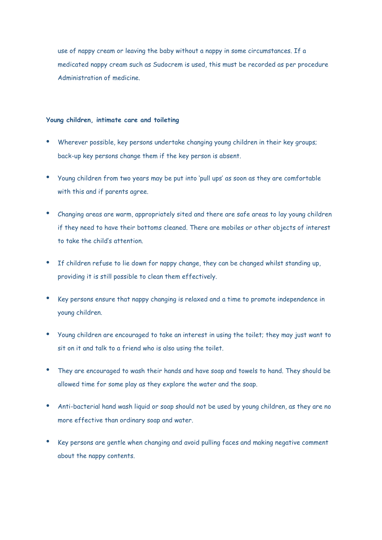use of nappy cream or leaving the baby without a nappy in some circumstances. If a medicated nappy cream such as Sudocrem is used, this must be recorded as per procedure Administration of medicine.

#### **Young children, intimate care and toileting**

- Wherever possible, key persons undertake changing young children in their key groups; back-up key persons change them if the key person is absent.
- Young children from two years may be put into 'pull ups' as soon as they are comfortable with this and if parents agree.
- Changing areas are warm, appropriately sited and there are safe areas to lay young children if they need to have their bottoms cleaned. There are mobiles or other objects of interest to take the child's attention.
- If children refuse to lie down for nappy change, they can be changed whilst standing up, providing it is still possible to clean them effectively.
- Key persons ensure that nappy changing is relaxed and a time to promote independence in young children.
- Young children are encouraged to take an interest in using the toilet; they may just want to sit on it and talk to a friend who is also using the toilet.
- They are encouraged to wash their hands and have soap and towels to hand. They should be allowed time for some play as they explore the water and the soap.
- Anti-bacterial hand wash liquid or soap should not be used by young children, as they are no more effective than ordinary soap and water.
- Key persons are gentle when changing and avoid pulling faces and making negative comment about the nappy contents.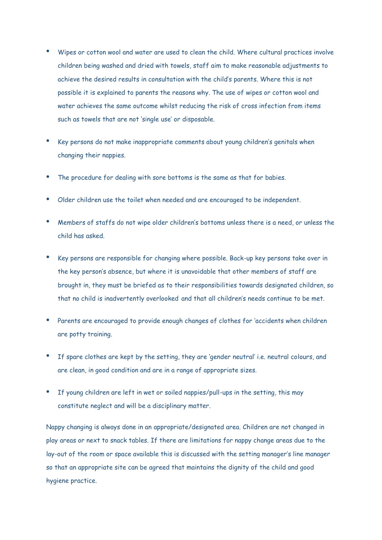- Wipes or cotton wool and water are used to clean the child. Where cultural practices involve children being washed and dried with towels, staff aim to make reasonable adjustments to achieve the desired results in consultation with the child's parents. Where this is not possible it is explained to parents the reasons why. The use of wipes or cotton wool and water achieves the same outcome whilst reducing the risk of cross infection from items such as towels that are not 'single use' or disposable.
- Key persons do not make inappropriate comments about young children's genitals when changing their nappies.
- The procedure for dealing with sore bottoms is the same as that for babies.
- Older children use the toilet when needed and are encouraged to be independent.
- Members of staffs do not wipe older children's bottoms unless there is a need, or unless the child has asked.
- Key persons are responsible for changing where possible. Back-up key persons take over in the key person's absence, but where it is unavoidable that other members of staff are brought in, they must be briefed as to their responsibilities towards designated children, so that no child is inadvertently overlooked and that all children's needs continue to be met.
- Parents are encouraged to provide enough changes of clothes for 'accidents when children are potty training.
- If spare clothes are kept by the setting, they are 'gender neutral' i.e. neutral colours, and are clean, in good condition and are in a range of appropriate sizes.
- If young children are left in wet or soiled nappies/pull-ups in the setting, this may constitute neglect and will be a disciplinary matter.

Nappy changing is always done in an appropriate/designated area. Children are not changed in play areas or next to snack tables. If there are limitations for nappy change areas due to the lay-out of the room or space available this is discussed with the setting manager's line manager so that an appropriate site can be agreed that maintains the dignity of the child and good hygiene practice.